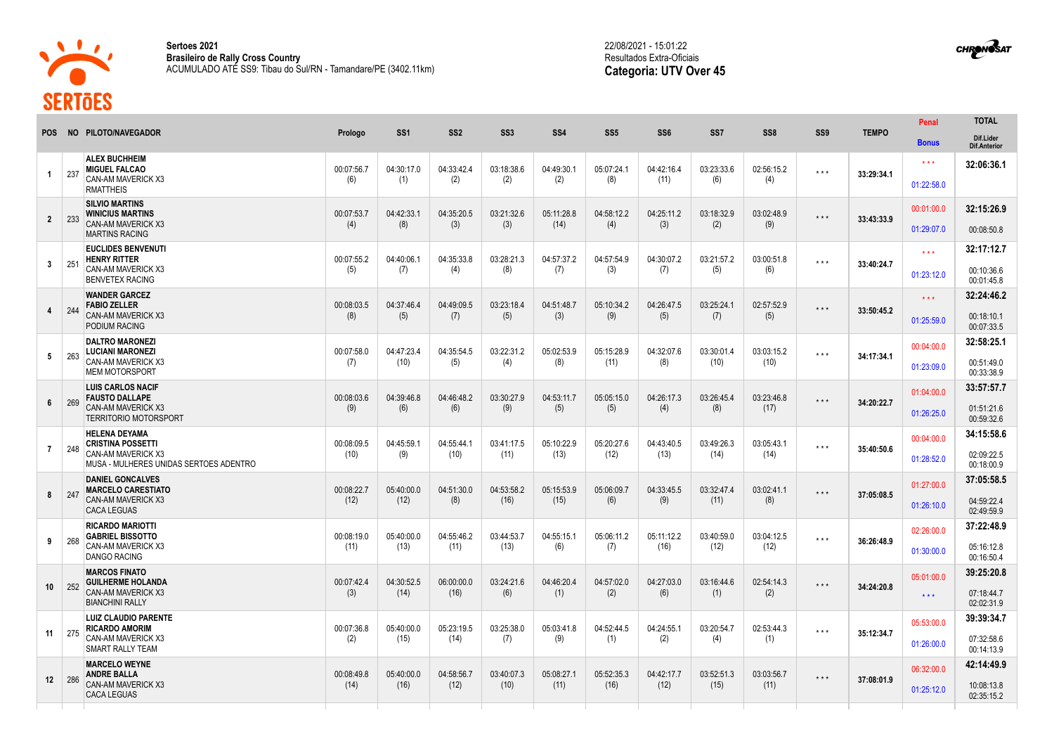

CACA LEGUAS

**Sertoes 2021 Brasileiro de Rally Cross Country** ACUMULADO ATÉ SS9: Tibau do Sul/RN - Tamandare/PE (3402.11km)



|                 |     |                                                                                                                  |                    |                    |                    |                    |                    |                    |                    |                    |                    |                         |              | Penal                             | <b>TOTAL</b>                           |
|-----------------|-----|------------------------------------------------------------------------------------------------------------------|--------------------|--------------------|--------------------|--------------------|--------------------|--------------------|--------------------|--------------------|--------------------|-------------------------|--------------|-----------------------------------|----------------------------------------|
| <b>POS</b>      |     | NO PILOTO/NAVEGADOR                                                                                              | Prologo            | SS <sub>1</sub>    | SS <sub>2</sub>    | SS <sub>3</sub>    | SS <sub>4</sub>    | SS <sub>5</sub>    | SS <sub>6</sub>    | SS7                | SS <sub>8</sub>    | SS <sub>9</sub>         | <b>TEMPO</b> | <b>Bonus</b>                      | Dif.Lider<br><b>Dif.Anterior</b>       |
| $\mathbf{1}$    | 237 | <b>ALEX BUCHHEIM</b><br><b>MIGUEL FALCAO</b><br>CAN-AM MAVERICK X3<br><b>RMATTHEIS</b>                           | 00:07:56.7<br>(6)  | 04:30:17.0<br>(1)  | 04:33:42.4<br>(2)  | 03:18:38.6<br>(2)  | 04:49:30.1<br>(2)  | 05:07:24.1<br>(8)  | 04:42:16.4<br>(11) | 03:23:33.6<br>(6)  | 02:56:15.2<br>(4)  | $\star$ $\star$ $\star$ | 33:29:34.1   | $\star \star \star$<br>01:22:58.0 | 32:06:36.1                             |
| $\overline{2}$  | 233 | <b>SILVIO MARTINS</b><br><b>WINICIUS MARTINS</b><br>CAN-AM MAVERICK X3<br><b>MARTINS RACING</b>                  | 00:07:53.7<br>(4)  | 04:42:33.1<br>(8)  | 04:35:20.5<br>(3)  | 03:21:32.6<br>(3)  | 05:11:28.8<br>(14) | 04:58:12.2<br>(4)  | 04:25:11.2<br>(3)  | 03:18:32.9<br>(2)  | 03:02:48.9<br>(9)  | $\star \star \star$     | 33:43:33.9   | 00:01:00.0<br>01:29:07.0          | 32:15:26.9<br>00:08:50.8               |
| $3^{\circ}$     | 251 | <b>EUCLIDES BENVENUTI</b><br><b>HENRY RITTER</b><br>CAN-AM MAVERICK X3<br><b>BENVETEX RACING</b>                 | 00:07:55.2<br>(5)  | 04:40:06.1<br>(7)  | 04:35:33.8<br>(4)  | 03:28:21.3<br>(8)  | 04:57:37.2<br>(7)  | 04:57:54.9<br>(3)  | 04:30:07.2<br>(7)  | 03:21:57.2<br>(5)  | 03:00:51.8<br>(6)  | $***$                   | 33:40:24.7   | $\star \star \star$<br>01:23:12.0 | 32:17:12.7<br>00:10:36.6<br>00:01:45.8 |
| $\overline{4}$  | 244 | <b>WANDER GARCEZ</b><br><b>FABIO ZELLER</b><br>CAN-AM MAVERICK X3<br>PODIUM RACING                               | 00:08:03.5<br>(8)  | 04:37:46.4<br>(5)  | 04:49:09.5<br>(7)  | 03:23:18.4<br>(5)  | 04:51:48.7<br>(3)  | 05:10:34.2<br>(9)  | 04:26:47.5<br>(5)  | 03:25:24.1<br>(7)  | 02:57:52.9<br>(5)  | $***$                   | 33:50:45.2   | $\star \star \star$<br>01:25:59.0 | 32:24:46.2<br>00:18:10.1<br>00:07:33.5 |
| 5               | 263 | <b>DALTRO MARONEZI</b><br><b>LUCIANI MARONEZI</b><br>CAN-AM MAVERICK X3<br><b>MEM MOTORSPORT</b>                 | 00:07:58.0<br>(7)  | 04:47:23.4<br>(10) | 04:35:54.5<br>(5)  | 03:22:31.2<br>(4)  | 05:02:53.9<br>(8)  | 05:15:28.9<br>(11) | 04:32:07.6<br>(8)  | 03:30:01.4<br>(10) | 03:03:15.2<br>(10) | $***$                   | 34:17:34.1   | 00:04:00.0<br>01:23:09.0          | 32:58:25.1<br>00:51:49.0<br>00:33:38.9 |
| 6               | 269 | <b>LUIS CARLOS NACIF</b><br><b>FAUSTO DALLAPE</b><br>CAN-AM MAVERICK X3<br><b>TERRITORIO MOTORSPORT</b>          | 00:08:03.6<br>(9)  | 04:39:46.8<br>(6)  | 04:46:48.2<br>(6)  | 03:30:27.9<br>(9)  | 04:53:11.7<br>(5)  | 05:05:15.0<br>(5)  | 04:26:17.3<br>(4)  | 03:26:45.4<br>(8)  | 03:23:46.8<br>(17) | $***$                   | 34:20:22.7   | 01:04:00.0<br>01:26:25.0          | 33:57:57.7<br>01:51:21.6<br>00:59:32.6 |
| $\overline{7}$  | 248 | <b>HELENA DEYAMA</b><br><b>CRISTINA POSSETTI</b><br>CAN-AM MAVERICK X3<br>MUSA - MULHERES UNIDAS SERTOES ADENTRO | 00:08:09.5<br>(10) | 04:45:59.<br>(9)   | 04:55:44.<br>(10)  | 03:41:17.5<br>(11) | 05:10:22.9<br>(13) | 05:20:27.6<br>(12) | 04:43:40.5<br>(13) | 03:49:26.3<br>(14) | 03:05:43.1<br>(14) | $***$                   | 35:40:50.6   | 00:04:00.0<br>01:28:52.0          | 34:15:58.6<br>02:09:22.5<br>00:18:00.9 |
| 8               | 247 | <b>DANIEL GONCALVES</b><br><b>MARCELO CARESTIATO</b><br>CAN-AM MAVERICK X3<br><b>CACA LEGUAS</b>                 | 00:08:22.7<br>(12) | 05:40:00.0<br>(12) | 04:51:30.0<br>(8)  | 04:53:58.2<br>(16) | 05:15:53.9<br>(15) | 05:06:09.7<br>(6)  | 04:33:45.5<br>(9)  | 03:32:47.4<br>(11) | 03:02:41.1<br>(8)  | $***$                   | 37:05:08.5   | 01:27:00.0<br>01:26:10.0          | 37:05:58.5<br>04:59:22.4<br>02:49:59.9 |
| 9               | 268 | <b>RICARDO MARIOTTI</b><br><b>GABRIEL BISSOTTO</b><br>CAN-AM MAVERICK X3<br><b>DANGO RACING</b>                  | 00:08:19.0<br>(11) | 05:40:00.0<br>(13) | 04:55:46.2<br>(11) | 03:44:53.7<br>(13) | 04:55:15.1<br>(6)  | 05:06:11.2<br>(7)  | 05:11:12.2<br>(16) | 03:40:59.0<br>(12) | 03:04:12.5<br>(12) | $\star\star\star$       | 36:26:48.9   | 02:26:00.0<br>01:30:00.0          | 37:22:48.9<br>05:16:12.8<br>00:16:50.4 |
| 10 <sup>1</sup> | 252 | <b>MARCOS FINATO</b><br><b>GUILHERME HOLANDA</b><br>CAN-AM MAVERICK X3<br><b>BIANCHINI RALLY</b>                 | 00:07:42.4<br>(3)  | 04:30:52.5<br>(14) | 06:00:00.0<br>(16) | 03:24:21.6<br>(6)  | 04:46:20.4<br>(1)  | 04:57:02.0<br>(2)  | 04:27:03.0<br>(6)  | 03:16:44.6<br>(1)  | 02:54:14.3<br>(2)  | $\star$ $\star$ $\star$ | 34:24:20.8   | 05:01:00.0<br>$\star \star \star$ | 39:25:20.8<br>07:18:44.7<br>02:02:31.9 |
| 11              | 275 | <b>LUIZ CLAUDIO PARENTE</b><br><b>RICARDO AMORIM</b><br>CAN-AM MAVERICK X3<br>SMART RALLY TEAM                   | 00:07:36.8<br>(2)  | 05:40:00.0<br>(15) | 05:23:19.5<br>(14) | 03:25:38.0<br>(7)  | 05:03:41.8<br>(9)  | 04:52:44.5<br>(1)  | 04:24:55.1<br>(2)  | 03:20:54.7<br>(4)  | 02:53:44.3<br>(1)  | $\star\star\star$       | 35:12:34.7   | 05:53:00.0<br>01:26:00.0          | 39:39:34.7<br>07:32:58.6<br>00:14:13.9 |
| 12              | 286 | <b>MARCELO WEYNE</b><br><b>ANDRE BALLA</b><br>CAN-AM MAVERICK X3<br>0.011501180                                  | 00:08:49.8<br>(14) | 05:40:00.0<br>(16) | 04:58:56.7<br>(12) | 03:40:07.3<br>(10) | 05:08:27.1<br>(11) | 05:52:35.3<br>(16) | 04:42:17.7<br>(12) | 03:52:51.3<br>(15) | 03:03:56.7<br>(11) | $\star$ $\star$ $\star$ | 37:08:01.9   | 06:32:00.0<br>01:25:12.0          | 42:14:49.9<br>10:08:13.8<br>0005150    |

**CHRONOSAT** 

02:35:15.2